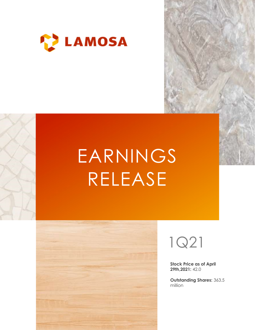

# EARNINGS RELEASE





Stock Price as of April 29th,2021: 42.0

Outstanding Shares: 363.5 million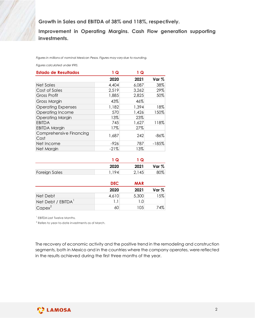| Growth in Sales and EBITDA of 38% and 118%, respectively.                       |            |            |         |
|---------------------------------------------------------------------------------|------------|------------|---------|
|                                                                                 |            |            |         |
|                                                                                 |            |            |         |
|                                                                                 |            |            |         |
|                                                                                 |            |            |         |
|                                                                                 |            |            |         |
| Improvement in Operating Margins. Cash Flow generation supporting               |            |            |         |
| investments.                                                                    |            |            |         |
|                                                                                 |            |            |         |
|                                                                                 |            |            |         |
|                                                                                 |            |            |         |
| Figures in millions of nominal Mexican Pesos. Figures may vary due to rounding. |            |            |         |
|                                                                                 |            |            |         |
| Figures calculated under IFRS.                                                  |            |            |         |
| <b>Estado de Resultados</b>                                                     | 1Q         | 1Q         |         |
|                                                                                 | 2020       | 2021       | Var %   |
| <b>Net Sales</b>                                                                | 4,404      | 6,087      | 38%     |
| Cost of Sales                                                                   | 2,519      | 3,262      | 29%     |
| <b>Gross Profit</b>                                                             | 1,885      | 2,825      | 50%     |
| <b>Gross Margin</b>                                                             | 43%        | 46%        |         |
|                                                                                 | 1,182      | 1,394      | 18%     |
| <b>Operating Expenses</b>                                                       |            |            |         |
| Operating Income                                                                | 570        | 1,426      | 150%    |
| <b>Operating Margin</b>                                                         | 13%        | 23%        |         |
| <b>EBITDA</b>                                                                   | 745        | 1,627      | 118%    |
| <b>EBITDA Margin</b>                                                            | 17%        | 27%        |         |
| Comprehensive Financing                                                         | 1,687      | 242        | $-86%$  |
| Cost                                                                            |            |            |         |
| Net Income                                                                      | $-926$     | 787        | $-185%$ |
| Net Margin                                                                      | $-21%$     | 13%        |         |
|                                                                                 |            |            |         |
|                                                                                 | 1Q         | 1Q         |         |
|                                                                                 | 2020       | 2021       | Var %   |
| Foreign Sales                                                                   | 1,194      | 2,145      | 80%     |
|                                                                                 |            |            |         |
|                                                                                 | <b>DEC</b> | <b>MAR</b> |         |
|                                                                                 |            |            |         |
|                                                                                 | 2020       | 2021       | Var %   |
|                                                                                 |            | 5,300      | 15%     |
| Net Debt                                                                        | 4,610      |            |         |
| Net Debt / EBITDA <sup>1</sup>                                                  | 1.1        | 1.0        |         |

|                      | 2020 | 2021  | Var % |
|----------------------|------|-------|-------|
| <b>Foreign Sales</b> | 194  | 2,145 | 80%   |

|                    | <b>DEC</b> | <b>MAR</b> |         |
|--------------------|------------|------------|---------|
|                    | 2020       | 2021       | Var $%$ |
| Net Debt           | 4,610      | 5,300      | 5%      |
| Net Debt / EBITDA' |            | 0. ا       |         |
| $Capex^2$          | 60         | 105        | 74%     |

The recovery of economic activity and the positive trend in the remodeling and construction segments, both in Mexico and in the countries where the company operates, were reflected in the results achieved during the first three months of the year.

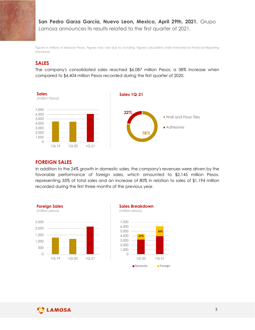San Pedro Garza García, Nuevo Leon, Mexico, April 29th, 2021. Grupo Lamosa announces its results related to the first quarter of 2021.

Figures in millions of Mexican Pesos. Figures may vary due to rounding. Figures calculated under International Financial Reporting Standards.

### SALES

The company's consolidated sales reached \$6,087 million Pesos, a 38% increase when compared to \$4,404 million Pesos recorded during the first quarter of 2020.



#### FOREIGN SALES

In addition to the 24% growth in domestic sales, the company's revenues were driven by the favorable performance of foreign sales, which amounted to \$2,145 million Pesos, representing 35% of total sales and an increase of 80% in relation to sales of \$1,194 million recorded during the first three months of the previous year.





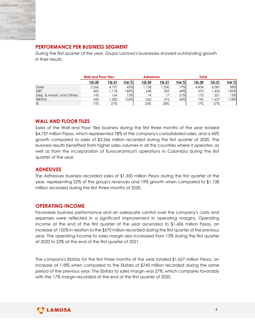

## PERFORMANCE PER BUSINESS SEGMENT

| PERFORMANCE PER BUSINESS SEGMENT                                                          |                             |                |                  |                  |                  |              |              |                  |             |
|-------------------------------------------------------------------------------------------|-----------------------------|----------------|------------------|------------------|------------------|--------------|--------------|------------------|-------------|
|                                                                                           |                             |                |                  |                  |                  |              |              |                  |             |
|                                                                                           |                             |                |                  |                  |                  |              |              |                  |             |
| During the first quarter of the year, Grupo Lamosa's businesses showed outstanding growth |                             |                |                  |                  |                  |              |              |                  |             |
| in their results.                                                                         |                             |                |                  |                  |                  |              |              |                  |             |
|                                                                                           |                             |                |                  |                  |                  |              |              |                  |             |
|                                                                                           |                             |                |                  |                  |                  |              |              |                  |             |
|                                                                                           | <b>Wall and Floor Tiles</b> |                |                  | <b>Adhesives</b> |                  |              | <b>Total</b> |                  |             |
|                                                                                           |                             |                |                  |                  |                  |              |              |                  |             |
|                                                                                           | 1Q-20                       | $1Q-21$        | Var <sub>%</sub> | 1Q-20<br>1,138   | $1Q-21$<br>1,350 | Var %<br>19% | $1Q - 20$    | $1Q-21$<br>6,087 | Var %       |
| Sales<br>EBIT                                                                             | 3,266<br>400                | 4,737<br>1,118 | 45%<br>180%      | 248              | 359              | 44%          | 4,404<br>570 | 1,426            | 38%<br>150% |
| Dep. & Amort. and Others                                                                  | 145                         | 164            | 13%              | 14               | 17               | 21%          | 175          | 201              | 15%         |
| <b>EBITDA</b><br>$\%$                                                                     | 545<br>17%                  | 1,282<br>27%   | 135%             | 262<br>23%       | 376<br>28%       | 43%          | 745<br>17%   | 1,627<br>27%     | 118%        |

## WALL AND FLOOR TILES

Sales of the Wall and Floor Tiles business during the first three months of the year totaled \$4,737 million Pesos, which represented 78% of the company's consolidated sales, and a 45% growth compared to sales of \$3,266 million recorded during the first quarter of 2020. The business results benefited from higher sales volumes in all the countries where it operates, as well as from the incorporation of Euroceramica's operations in Colombia during the first quarter of the year.

#### ADHESIVES

The Adhesives business recorded sales of \$1,350 million Pesos during the first quarter of the year, representing 22% of the group's revenues and 19% growth when compared to \$1,138 million recorded during the first three months of 2020.

#### OPERATING INCOME

Favorable business performance and an adequate control over the company's costs and expenses were reflected in a significant improvement in operating margins. Operating income at the end of the first quarter of the year ascended to \$1,426 million Pesos, an increase of 150% in relation to the \$570 million recorded during the first quarter of the previous year. The operating income to sales margin also increased from 13% during the first quarter of 2020 to 23% at the end of the first quarter of 2021.

The company's Ebitda for the first three months of the year totaled \$1,627 million Pesos, an increase of 118% when compared to the Ebitda of \$745 million recorded during the same period of the previous year. The Ebitda to sales margin was 27%, which compares favorably with the 17% margin recorded at the end of the first quarter of 2020.

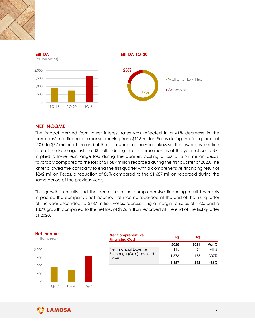



## NET INCOME

The impact derived from lower interest rates was reflected in a 41% decrease in the company's net financial expense, moving from \$115 million Pesos during the first quarter of 2020 to \$67 million at the end of the first quarter of the year. Likewise, the lower devaluation rate of the Peso against the US dollar during the first three months of the year, close to 3%, implied a lower exchange loss during the quarter, posting a loss of \$197 million pesos, favorably compared to the loss of \$1,589 million recorded during the first quarter of 2020. The latter allowed the company to end the first quarter with a comprehensive financing result of \$242 million Pesos, a reduction of 86% compared to the \$1,687 million recorded during the same period of the previous year. erest rates was reflected in a 41% decrease in the<br>
boving from \$115 million Pesos during the first quarter of<br>
tist quarter of the year. Likewise, the lower devaluation<br>
raturing the first three months of the year, close From the first quarter of<br>
the year, close to 3%,<br>
is the lower devaluation<br>
of the year, close to 3%,<br>
s of \$197 million pesos,<br>
first quarter of 2020. The<br>
ensive financing result of<br>
on recorded during the<br>
ancing resul From the first three months of the year, close to 3%,<br>
and the first three months of the year, close to 3%,<br>
589 million recorded during the first quarter of 2020. The<br>
first quarter with a comprehensive financing result f **NET INCOME**<br>
The impact derived from lower interest rates was reflected in a 41<br>
2020 to \$67 million at the end of the first quarter of the year. Likewise, the<br>
2020 to \$67 million at the end of the first quarter of the y The impact derived from lower interest rates was reflected in a 41%<br>
company's net financial expense, moving from \$115 million Pesos during<br>
2020 to \$67 million at the end of the first quarter of the year. Likewise, the la

The growth in results and the decrease in the comprehensive financing result favorably impacted the company's net income. Net income recorded at the end of the first quarter of the year ascended to \$787 million Pesos, representing a margin to sales of 13%, and a 185% growth compared to the net loss of \$926 million recorded at the end of the first quarter of 2020. eriod of the previous year.<br>
Solenoid the decrease in the comprehensive financing result favorably<br>
the company's net income. Net income recorded at the end of the first quarter<br>
year ascended to \$787 million Pesos, repres



| <b>Net Comprehensive</b><br><b>Financing Cost</b> | 1Q    | ١Q   |          |
|---------------------------------------------------|-------|------|----------|
|                                                   | 2020  | 2021 | Var %    |
| Net Financial Expense                             | 15    | 67   | $-41%$   |
| Exchange (Gain) Loss and<br><b>Others</b>         | .573  | 175  | $-307\%$ |
|                                                   | I,687 | 242  | $-86%$   |